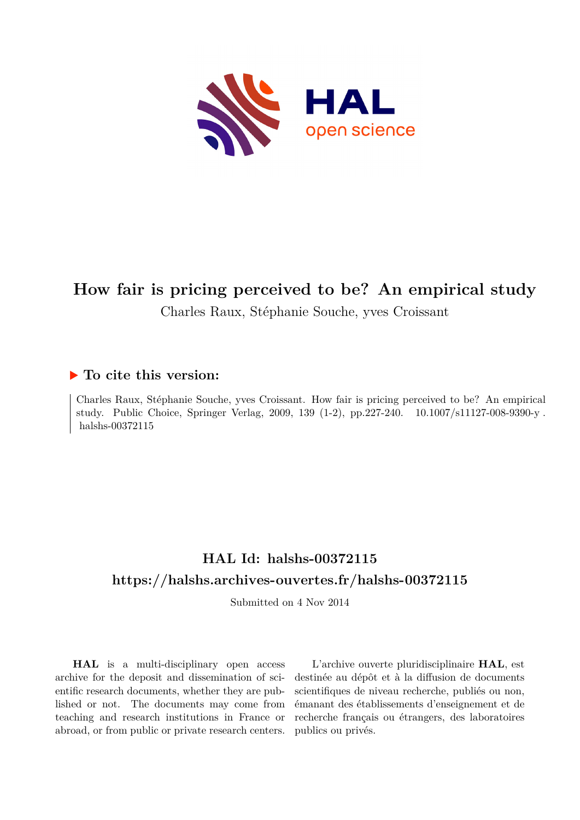

# **How fair is pricing perceived to be? An empirical study**

Charles Raux, Stéphanie Souche, yves Croissant

# **To cite this version:**

Charles Raux, Stéphanie Souche, yves Croissant. How fair is pricing perceived to be? An empirical study. Public Choice, Springer Verlag, 2009, 139 (1-2), pp.227-240.  $10.1007 \text{/} s11127-008-9390-y$ . halshs-00372115

# **HAL Id: halshs-00372115 <https://halshs.archives-ouvertes.fr/halshs-00372115>**

Submitted on 4 Nov 2014

**HAL** is a multi-disciplinary open access archive for the deposit and dissemination of scientific research documents, whether they are published or not. The documents may come from teaching and research institutions in France or abroad, or from public or private research centers.

L'archive ouverte pluridisciplinaire **HAL**, est destinée au dépôt et à la diffusion de documents scientifiques de niveau recherche, publiés ou non, émanant des établissements d'enseignement et de recherche français ou étrangers, des laboratoires publics ou privés.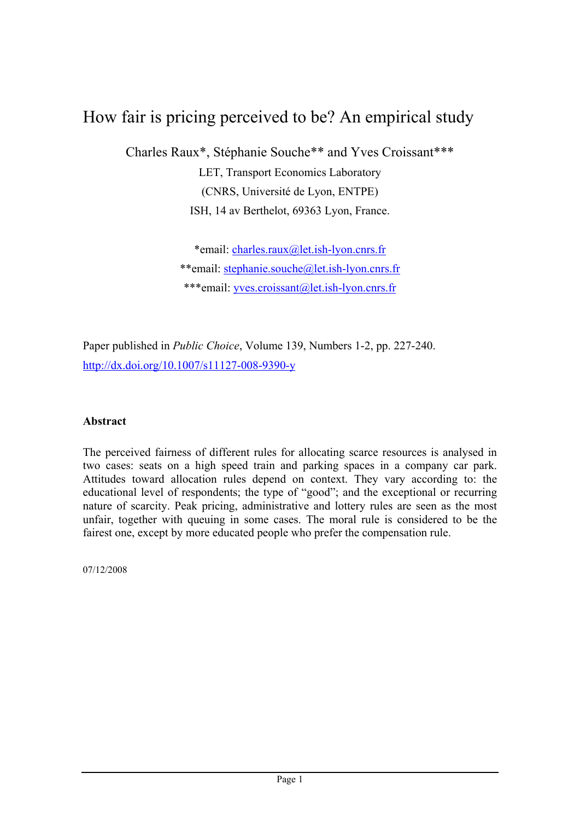# How fair is pricing perceived to be? An empirical study

Charles Raux\*, Stéphanie Souche\*\* and Yves Croissant\*\*\*

LET, Transport Economics Laboratory (CNRS, Université de Lyon, ENTPE) ISH, 14 av Berthelot, 69363 Lyon, France.

\*email: charles.raux@let.ish-lyon.cnrs.fr \*\*email: stephanie.souche@let.ish-lyon.cnrs.fr \*\*\*email: yves.croissant@let.ish-lyon.cnrs.fr

Paper published in *Public Choice*, Volume 139, Numbers 1-2, pp. 227-240. http://dx.doi.org/10.1007/s11127-008-9390-y

#### **Abstract**

The perceived fairness of different rules for allocating scarce resources is analysed in two cases: seats on a high speed train and parking spaces in a company car park. Attitudes toward allocation rules depend on context. They vary according to: the educational level of respondents; the type of "good"; and the exceptional or recurring nature of scarcity. Peak pricing, administrative and lottery rules are seen as the most unfair, together with queuing in some cases. The moral rule is considered to be the fairest one, except by more educated people who prefer the compensation rule.

07/12/2008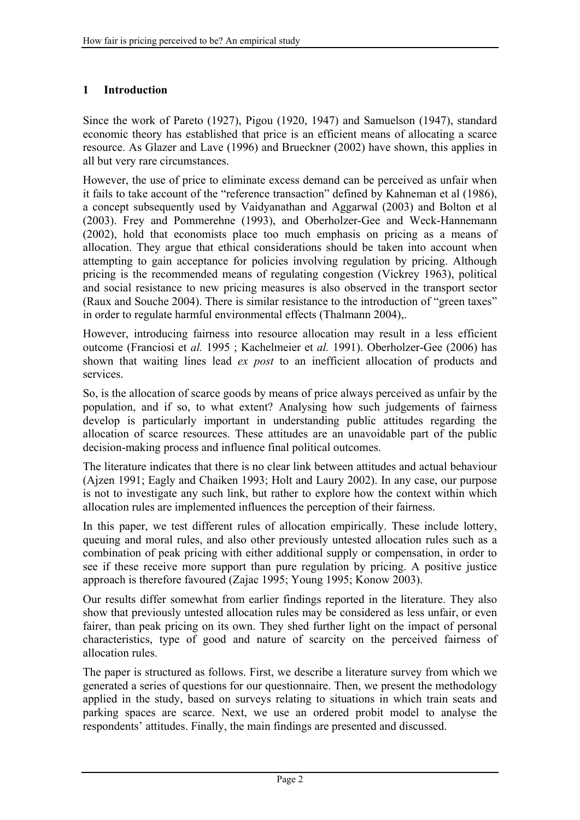# **1 Introduction**

Since the work of Pareto (1927), Pigou (1920, 1947) and Samuelson (1947), standard economic theory has established that price is an efficient means of allocating a scarce resource. As Glazer and Lave (1996) and Brueckner (2002) have shown, this applies in all but very rare circumstances.

However, the use of price to eliminate excess demand can be perceived as unfair when it fails to take account of the "reference transaction" defined by Kahneman et al (1986), a concept subsequently used by Vaidyanathan and Aggarwal (2003) and Bolton et al (2003). Frey and Pommerehne (1993), and Oberholzer-Gee and Weck-Hannemann (2002), hold that economists place too much emphasis on pricing as a means of allocation. They argue that ethical considerations should be taken into account when attempting to gain acceptance for policies involving regulation by pricing. Although pricing is the recommended means of regulating congestion (Vickrey 1963), political and social resistance to new pricing measures is also observed in the transport sector (Raux and Souche 2004). There is similar resistance to the introduction of "green taxes" in order to regulate harmful environmental effects (Thalmann 2004),.

However, introducing fairness into resource allocation may result in a less efficient outcome (Franciosi et *al.* 1995 ; Kachelmeier et *al.* 1991). Oberholzer-Gee (2006) has shown that waiting lines lead *ex post* to an inefficient allocation of products and services.

So, is the allocation of scarce goods by means of price always perceived as unfair by the population, and if so, to what extent? Analysing how such judgements of fairness develop is particularly important in understanding public attitudes regarding the allocation of scarce resources. These attitudes are an unavoidable part of the public decision-making process and influence final political outcomes.

The literature indicates that there is no clear link between attitudes and actual behaviour (Ajzen 1991; Eagly and Chaiken 1993; Holt and Laury 2002). In any case, our purpose is not to investigate any such link, but rather to explore how the context within which allocation rules are implemented influences the perception of their fairness.

In this paper, we test different rules of allocation empirically. These include lottery, queuing and moral rules, and also other previously untested allocation rules such as a combination of peak pricing with either additional supply or compensation, in order to see if these receive more support than pure regulation by pricing. A positive justice approach is therefore favoured (Zajac 1995; Young 1995; Konow 2003).

Our results differ somewhat from earlier findings reported in the literature. They also show that previously untested allocation rules may be considered as less unfair, or even fairer, than peak pricing on its own. They shed further light on the impact of personal characteristics, type of good and nature of scarcity on the perceived fairness of allocation rules.

The paper is structured as follows. First, we describe a literature survey from which we generated a series of questions for our questionnaire. Then, we present the methodology applied in the study, based on surveys relating to situations in which train seats and parking spaces are scarce. Next, we use an ordered probit model to analyse the respondents' attitudes. Finally, the main findings are presented and discussed.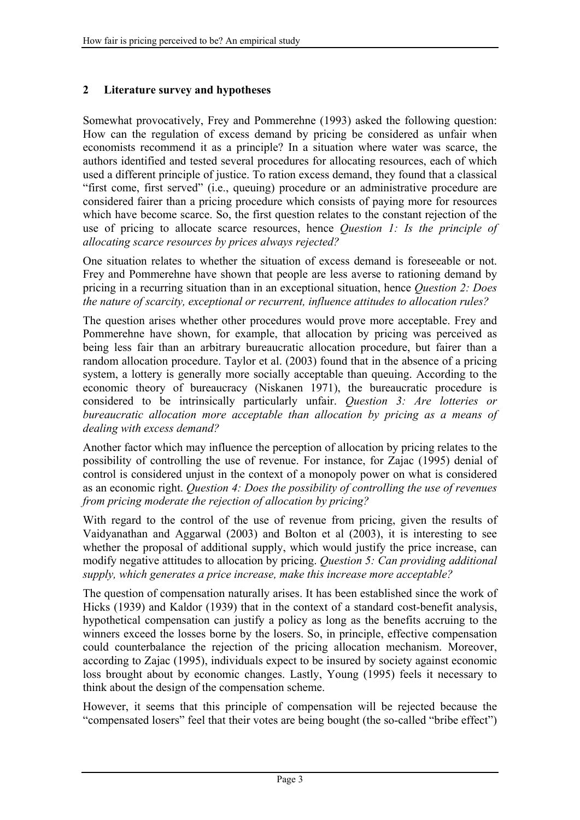# **2 Literature survey and hypotheses**

Somewhat provocatively, Frey and Pommerehne (1993) asked the following question: How can the regulation of excess demand by pricing be considered as unfair when economists recommend it as a principle? In a situation where water was scarce, the authors identified and tested several procedures for allocating resources, each of which used a different principle of justice. To ration excess demand, they found that a classical "first come, first served" (i.e., queuing) procedure or an administrative procedure are considered fairer than a pricing procedure which consists of paying more for resources which have become scarce. So, the first question relates to the constant rejection of the use of pricing to allocate scarce resources, hence *Question 1: Is the principle of allocating scarce resources by prices always rejected?*

One situation relates to whether the situation of excess demand is foreseeable or not. Frey and Pommerehne have shown that people are less averse to rationing demand by pricing in a recurring situation than in an exceptional situation, hence *Question 2: Does the nature of scarcity, exceptional or recurrent, influence attitudes to allocation rules?*

The question arises whether other procedures would prove more acceptable. Frey and Pommerehne have shown, for example, that allocation by pricing was perceived as being less fair than an arbitrary bureaucratic allocation procedure, but fairer than a random allocation procedure. Taylor et al. (2003) found that in the absence of a pricing system, a lottery is generally more socially acceptable than queuing. According to the economic theory of bureaucracy (Niskanen 1971), the bureaucratic procedure is considered to be intrinsically particularly unfair. *Question 3: Are lotteries or bureaucratic allocation more acceptable than allocation by pricing as a means of dealing with excess demand?*

Another factor which may influence the perception of allocation by pricing relates to the possibility of controlling the use of revenue. For instance, for Zajac (1995) denial of control is considered unjust in the context of a monopoly power on what is considered as an economic right. *Question 4: Does the possibility of controlling the use of revenues from pricing moderate the rejection of allocation by pricing?* 

With regard to the control of the use of revenue from pricing, given the results of Vaidyanathan and Aggarwal (2003) and Bolton et al (2003), it is interesting to see whether the proposal of additional supply, which would justify the price increase, can modify negative attitudes to allocation by pricing. *Question 5: Can providing additional supply, which generates a price increase, make this increase more acceptable?*

The question of compensation naturally arises. It has been established since the work of Hicks (1939) and Kaldor (1939) that in the context of a standard cost-benefit analysis, hypothetical compensation can justify a policy as long as the benefits accruing to the winners exceed the losses borne by the losers. So, in principle, effective compensation could counterbalance the rejection of the pricing allocation mechanism. Moreover, according to Zajac (1995), individuals expect to be insured by society against economic loss brought about by economic changes. Lastly, Young (1995) feels it necessary to think about the design of the compensation scheme.

However, it seems that this principle of compensation will be rejected because the "compensated losers" feel that their votes are being bought (the so-called "bribe effect")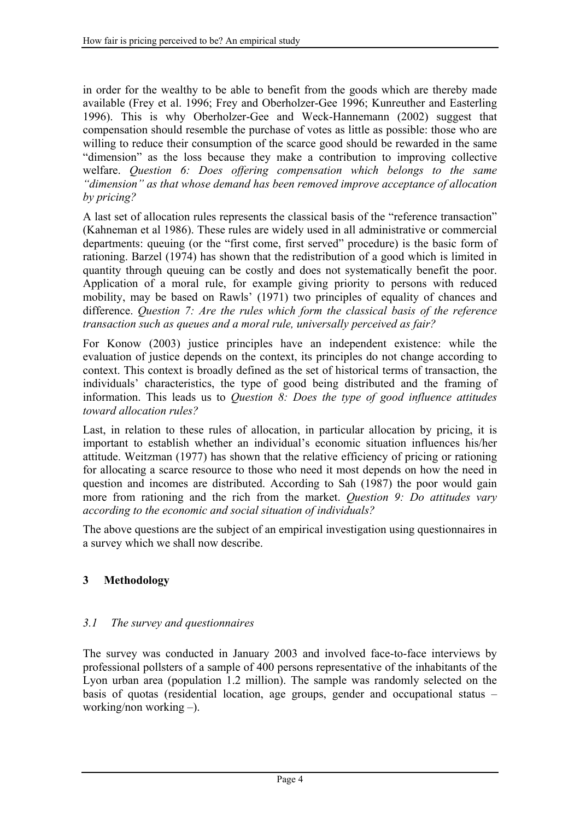in order for the wealthy to be able to benefit from the goods which are thereby made available (Frey et al. 1996; Frey and Oberholzer-Gee 1996; Kunreuther and Easterling 1996). This is why Oberholzer-Gee and Weck-Hannemann (2002) suggest that compensation should resemble the purchase of votes as little as possible: those who are willing to reduce their consumption of the scarce good should be rewarded in the same "dimension" as the loss because they make a contribution to improving collective welfare. *Question 6: Does offering compensation which belongs to the same "dimension" as that whose demand has been removed improve acceptance of allocation by pricing?* 

A last set of allocation rules represents the classical basis of the "reference transaction" (Kahneman et al 1986). These rules are widely used in all administrative or commercial departments: queuing (or the "first come, first served" procedure) is the basic form of rationing. Barzel (1974) has shown that the redistribution of a good which is limited in quantity through queuing can be costly and does not systematically benefit the poor. Application of a moral rule, for example giving priority to persons with reduced mobility, may be based on Rawls' (1971) two principles of equality of chances and difference. *Question 7: Are the rules which form the classical basis of the reference transaction such as queues and a moral rule, universally perceived as fair?* 

For Konow (2003) justice principles have an independent existence: while the evaluation of justice depends on the context, its principles do not change according to context. This context is broadly defined as the set of historical terms of transaction, the individuals' characteristics, the type of good being distributed and the framing of information. This leads us to *Question 8: Does the type of good influence attitudes toward allocation rules?* 

Last, in relation to these rules of allocation, in particular allocation by pricing, it is important to establish whether an individual's economic situation influences his/her attitude. Weitzman (1977) has shown that the relative efficiency of pricing or rationing for allocating a scarce resource to those who need it most depends on how the need in question and incomes are distributed. According to Sah (1987) the poor would gain more from rationing and the rich from the market. *Question 9: Do attitudes vary according to the economic and social situation of individuals?* 

The above questions are the subject of an empirical investigation using questionnaires in a survey which we shall now describe.

# **3 Methodology**

# *3.1 The survey and questionnaires*

The survey was conducted in January 2003 and involved face-to-face interviews by professional pollsters of a sample of 400 persons representative of the inhabitants of the Lyon urban area (population 1.2 million). The sample was randomly selected on the basis of quotas (residential location, age groups, gender and occupational status – working/non working –).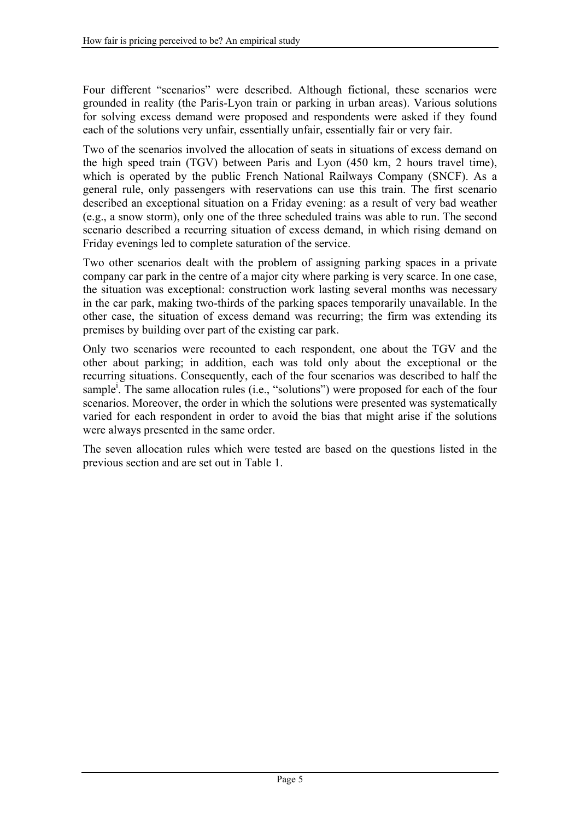Four different "scenarios" were described. Although fictional, these scenarios were grounded in reality (the Paris-Lyon train or parking in urban areas). Various solutions for solving excess demand were proposed and respondents were asked if they found each of the solutions very unfair, essentially unfair, essentially fair or very fair.

Two of the scenarios involved the allocation of seats in situations of excess demand on the high speed train (TGV) between Paris and Lyon (450 km, 2 hours travel time), which is operated by the public French National Railways Company (SNCF). As a general rule, only passengers with reservations can use this train. The first scenario described an exceptional situation on a Friday evening: as a result of very bad weather (e.g., a snow storm), only one of the three scheduled trains was able to run. The second scenario described a recurring situation of excess demand, in which rising demand on Friday evenings led to complete saturation of the service.

Two other scenarios dealt with the problem of assigning parking spaces in a private company car park in the centre of a major city where parking is very scarce. In one case, the situation was exceptional: construction work lasting several months was necessary in the car park, making two-thirds of the parking spaces temporarily unavailable. In the other case, the situation of excess demand was recurring; the firm was extending its premises by building over part of the existing car park.

Only two scenarios were recounted to each respondent, one about the TGV and the other about parking; in addition, each was told only about the exceptional or the recurring situations. Consequently, each of the four scenarios was described to half the sample<sup>i</sup>. The same allocation rules (i.e., "solutions") were proposed for each of the four scenarios. Moreover, the order in which the solutions were presented was systematically varied for each respondent in order to avoid the bias that might arise if the solutions were always presented in the same order.

The seven allocation rules which were tested are based on the questions listed in the previous section and are set out in Table 1.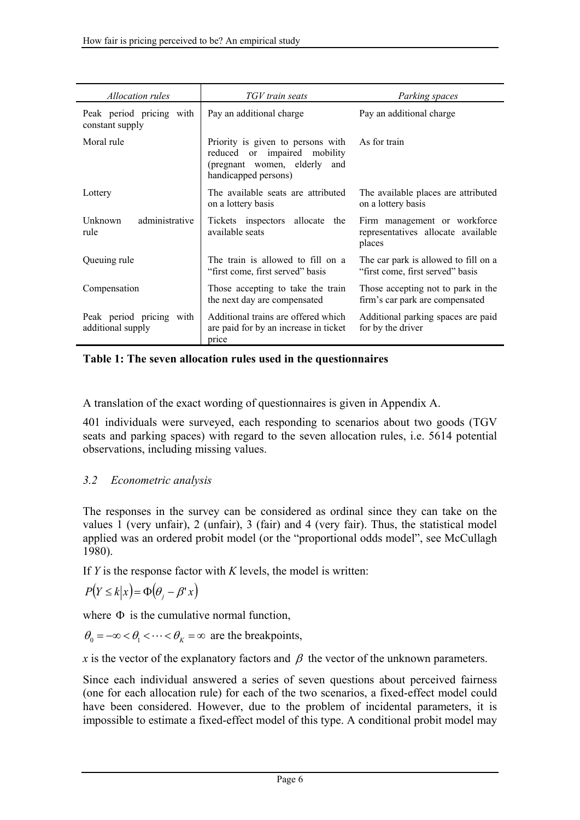| <b>Allocation rules</b>                       | TGV train seats                                                                                                                        | Parking spaces                                                               |
|-----------------------------------------------|----------------------------------------------------------------------------------------------------------------------------------------|------------------------------------------------------------------------------|
| Peak period pricing with<br>constant supply   | Pay an additional charge                                                                                                               | Pay an additional charge                                                     |
| Moral rule                                    | Priority is given to persons with As for train<br>reduced or impaired mobility<br>(pregnant women, elderly and<br>handicapped persons) |                                                                              |
| Lottery                                       | The available seats are attributed<br>on a lottery basis                                                                               | The available places are attributed<br>on a lottery basis                    |
| administrative<br>Unknown<br>rule             | Tickets inspectors allocate the<br>available seats                                                                                     | Firm management or workforce<br>representatives allocate available<br>places |
| Queuing rule                                  | The train is allowed to fill on a<br>"first come, first served" basis                                                                  | The car park is allowed to fill on a<br>"first come, first served" basis     |
| Compensation                                  | Those accepting to take the train<br>the next day are compensated                                                                      | Those accepting not to park in the<br>firm's car park are compensated        |
| Peak period pricing with<br>additional supply | Additional trains are offered which<br>are paid for by an increase in ticket<br>price                                                  | Additional parking spaces are paid<br>for by the driver                      |

**Table 1: The seven allocation rules used in the questionnaires** 

A translation of the exact wording of questionnaires is given in Appendix A.

401 individuals were surveyed, each responding to scenarios about two goods (TGV seats and parking spaces) with regard to the seven allocation rules, i.e. 5614 potential observations, including missing values.

# *3.2 Econometric analysis*

The responses in the survey can be considered as ordinal since they can take on the values 1 (very unfair), 2 (unfair), 3 (fair) and 4 (very fair). Thus, the statistical model applied was an ordered probit model (or the "proportional odds model", see McCullagh 1980).

If *Y* is the response factor with *K* levels, the model is written:

$$
P(Y \le k | x) = \Phi(\theta_j - \beta' x)
$$

where  $\Phi$  is the cumulative normal function,

 $\theta_0 = -\infty < \theta_1 < \cdots < \theta_k = \infty$  are the breakpoints,

*x* is the vector of the explanatory factors and  $\beta$  the vector of the unknown parameters.

Since each individual answered a series of seven questions about perceived fairness (one for each allocation rule) for each of the two scenarios, a fixed-effect model could have been considered. However, due to the problem of incidental parameters, it is impossible to estimate a fixed-effect model of this type. A conditional probit model may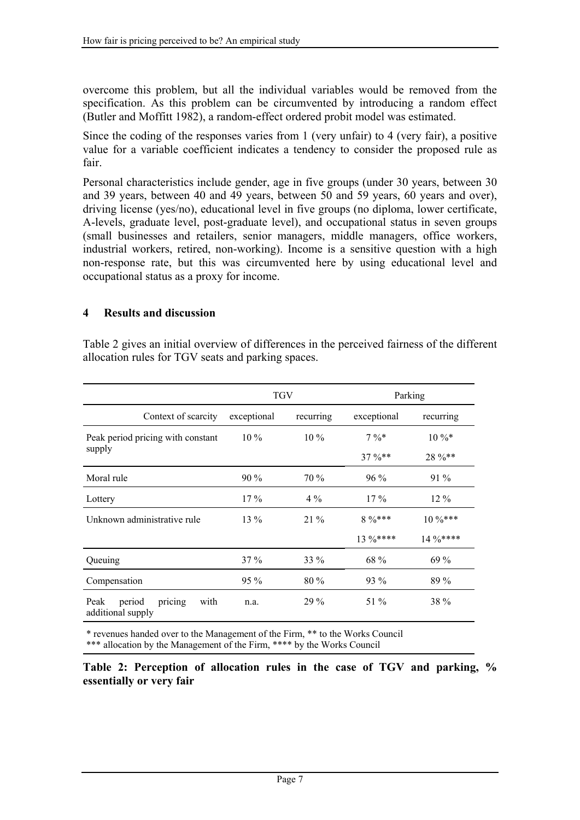overcome this problem, but all the individual variables would be removed from the specification. As this problem can be circumvented by introducing a random effect (Butler and Moffitt 1982), a random-effect ordered probit model was estimated.

Since the coding of the responses varies from 1 (very unfair) to 4 (very fair), a positive value for a variable coefficient indicates a tendency to consider the proposed rule as fair.

Personal characteristics include gender, age in five groups (under 30 years, between 30 and 39 years, between 40 and 49 years, between 50 and 59 years, 60 years and over), driving license (yes/no), educational level in five groups (no diploma, lower certificate, A-levels, graduate level, post-graduate level), and occupational status in seven groups (small businesses and retailers, senior managers, middle managers, office workers, industrial workers, retired, non-working). Income is a sensitive question with a high non-response rate, but this was circumvented here by using educational level and occupational status as a proxy for income.

#### **4 Results and discussion**

Table 2 gives an initial overview of differences in the perceived fairness of the different allocation rules for TGV seats and parking spaces.

|                                                        | <b>TGV</b>  |           | Parking            |                      |  |
|--------------------------------------------------------|-------------|-----------|--------------------|----------------------|--|
| Context of scarcity                                    | exceptional | recurring | exceptional        | recurring            |  |
| Peak period pricing with constant                      | $10\%$      | $10\%$    | $7\%*$             | $10\,\%^*$           |  |
| supply                                                 |             |           | $37\%**$           | $28\%$ **            |  |
| Moral rule                                             | $90\%$      | 70 %      | $96\%$             | $91\%$               |  |
| Lottery                                                | $17\%$      | $4\%$     | $17\%$             | $12\%$               |  |
| Unknown administrative rule                            | $13\%$      | $21\%$    | $8\frac{0}{6}$ *** | $10\,\%***$          |  |
|                                                        |             |           | $13\%***$          | $14\frac{9}{8}$ **** |  |
| Queuing                                                | $37\%$      | $33\%$    | 68 %               | 69 %                 |  |
| Compensation                                           | $95\%$      | $80\%$    | 93 %               | $89\%$               |  |
| with<br>Peak<br>period<br>pricing<br>additional supply | n.a.        | $29\%$    | 51 $\%$            | 38 %                 |  |

\* revenues handed over to the Management of the Firm, \*\* to the Works Council \*\*\* allocation by the Management of the Firm, \*\*\*\* by the Works Council

**Table 2: Perception of allocation rules in the case of TGV and parking, % essentially or very fair**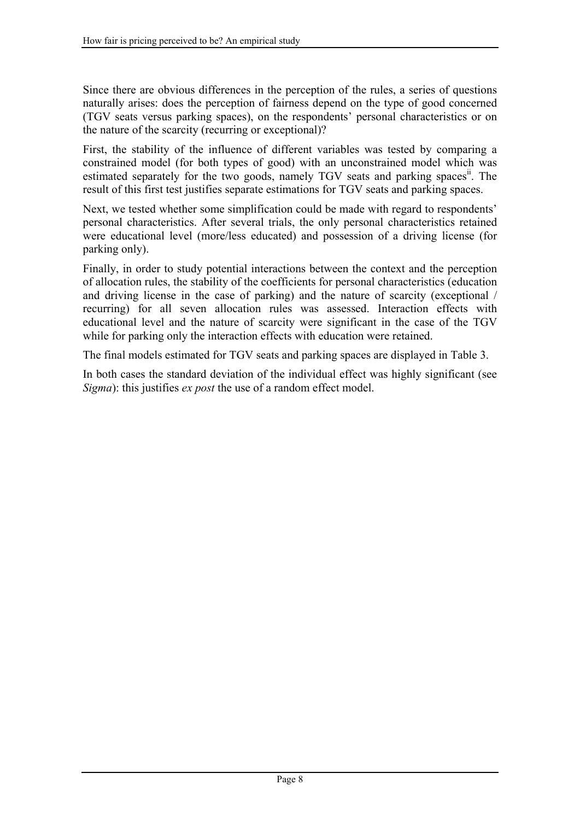Since there are obvious differences in the perception of the rules, a series of questions naturally arises: does the perception of fairness depend on the type of good concerned (TGV seats versus parking spaces), on the respondents' personal characteristics or on the nature of the scarcity (recurring or exceptional)?

First, the stability of the influence of different variables was tested by comparing a constrained model (for both types of good) with an unconstrained model which was estimated separately for the two goods, namely TGV seats and parking spaces<sup>ii</sup>. The result of this first test justifies separate estimations for TGV seats and parking spaces.

Next, we tested whether some simplification could be made with regard to respondents' personal characteristics. After several trials, the only personal characteristics retained were educational level (more/less educated) and possession of a driving license (for parking only).

Finally, in order to study potential interactions between the context and the perception of allocation rules, the stability of the coefficients for personal characteristics (education and driving license in the case of parking) and the nature of scarcity (exceptional / recurring) for all seven allocation rules was assessed. Interaction effects with educational level and the nature of scarcity were significant in the case of the TGV while for parking only the interaction effects with education were retained.

The final models estimated for TGV seats and parking spaces are displayed in Table 3.

In both cases the standard deviation of the individual effect was highly significant (see *Sigma*): this justifies *ex post* the use of a random effect model.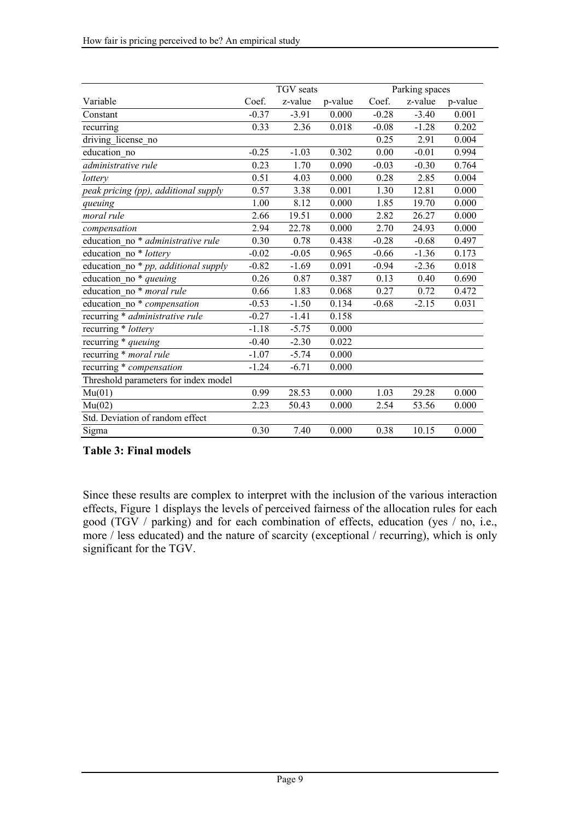|                                      | <b>TGV</b> seats |         | Parking spaces |         |         |         |
|--------------------------------------|------------------|---------|----------------|---------|---------|---------|
| Variable                             | Coef.            | z-value | p-value        | Coef.   | z-value | p-value |
| Constant                             | $-0.37$          | $-3.91$ | 0.000          | $-0.28$ | $-3.40$ | 0.001   |
| recurring                            | 0.33             | 2.36    | 0.018          | $-0.08$ | $-1.28$ | 0.202   |
| driving_license_no                   |                  |         |                | 0.25    | 2.91    | 0.004   |
| education no                         | $-0.25$          | $-1.03$ | 0.302          | 0.00    | $-0.01$ | 0.994   |
| administrative rule                  | 0.23             | 1.70    | 0.090          | $-0.03$ | $-0.30$ | 0.764   |
| lottery                              | 0.51             | 4.03    | 0.000          | 0.28    | 2.85    | 0.004   |
| peak pricing (pp), additional supply | 0.57             | 3.38    | 0.001          | 1.30    | 12.81   | 0.000   |
| queuing                              | 1.00             | 8.12    | 0.000          | 1.85    | 19.70   | 0.000   |
| moral rule                           | 2.66             | 19.51   | 0.000          | 2.82    | 26.27   | 0.000   |
| compensation                         | 2.94             | 22.78   | 0.000          | 2.70    | 24.93   | 0.000   |
| education no * administrative rule   | 0.30             | 0.78    | 0.438          | $-0.28$ | $-0.68$ | 0.497   |
| education no * lottery               | $-0.02$          | $-0.05$ | 0.965          | $-0.66$ | $-1.36$ | 0.173   |
| education_no * pp, additional supply | $-0.82$          | $-1.69$ | 0.091          | $-0.94$ | $-2.36$ | 0.018   |
| education_no * queuing               | 0.26             | 0.87    | 0.387          | 0.13    | 0.40    | 0.690   |
| education no * moral rule            | 0.66             | 1.83    | 0.068          | 0.27    | 0.72    | 0.472   |
| education_no * compensation          | $-0.53$          | $-1.50$ | 0.134          | $-0.68$ | $-2.15$ | 0.031   |
| recurring * administrative rule      | $-0.27$          | $-1.41$ | 0.158          |         |         |         |
| recurring * lottery                  | $-1.18$          | $-5.75$ | 0.000          |         |         |         |
| recurring * queuing                  | $-0.40$          | $-2.30$ | 0.022          |         |         |         |
| recurring * moral rule               | $-1.07$          | $-5.74$ | 0.000          |         |         |         |
| recurring * compensation             | $-1.24$          | $-6.71$ | 0.000          |         |         |         |
| Threshold parameters for index model |                  |         |                |         |         |         |
| Mu(01)                               | 0.99             | 28.53   | 0.000          | 1.03    | 29.28   | 0.000   |
| Mu(02)                               | 2.23             | 50.43   | 0.000          | 2.54    | 53.56   | 0.000   |
| Std. Deviation of random effect      |                  |         |                |         |         |         |
| Sigma                                | 0.30             | 7.40    | 0.000          | 0.38    | 10.15   | 0.000   |

#### **Table 3: Final models**

Since these results are complex to interpret with the inclusion of the various interaction effects, Figure 1 displays the levels of perceived fairness of the allocation rules for each good (TGV / parking) and for each combination of effects, education (yes / no, i.e., more  $\ell$  less educated) and the nature of scarcity (exceptional  $\ell$  recurring), which is only significant for the TGV.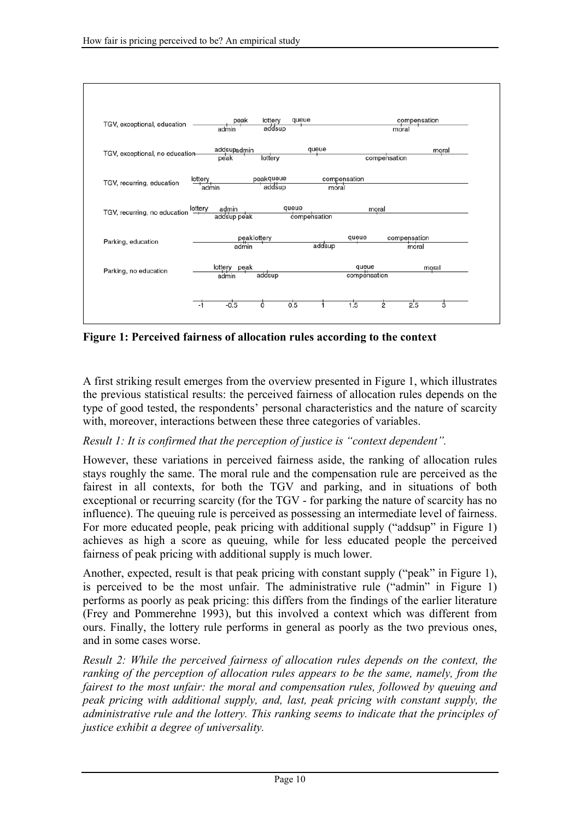

**Figure 1: Perceived fairness of allocation rules according to the context** 

A first striking result emerges from the overview presented in Figure 1, which illustrates the previous statistical results: the perceived fairness of allocation rules depends on the type of good tested, the respondents' personal characteristics and the nature of scarcity with, moreover, interactions between these three categories of variables.

#### *Result 1: It is confirmed that the perception of justice is "context dependent".*

However, these variations in perceived fairness aside, the ranking of allocation rules stays roughly the same. The moral rule and the compensation rule are perceived as the fairest in all contexts, for both the TGV and parking, and in situations of both exceptional or recurring scarcity (for the TGV - for parking the nature of scarcity has no influence). The queuing rule is perceived as possessing an intermediate level of fairness. For more educated people, peak pricing with additional supply ("addsup" in Figure 1) achieves as high a score as queuing, while for less educated people the perceived fairness of peak pricing with additional supply is much lower.

Another, expected, result is that peak pricing with constant supply ("peak" in Figure 1), is perceived to be the most unfair. The administrative rule ("admin" in Figure 1) performs as poorly as peak pricing: this differs from the findings of the earlier literature (Frey and Pommerehne 1993), but this involved a context which was different from ours. Finally, the lottery rule performs in general as poorly as the two previous ones, and in some cases worse.

*Result 2: While the perceived fairness of allocation rules depends on the context, the ranking of the perception of allocation rules appears to be the same, namely, from the fairest to the most unfair: the moral and compensation rules, followed by queuing and peak pricing with additional supply, and, last, peak pricing with constant supply, the administrative rule and the lottery. This ranking seems to indicate that the principles of justice exhibit a degree of universality.*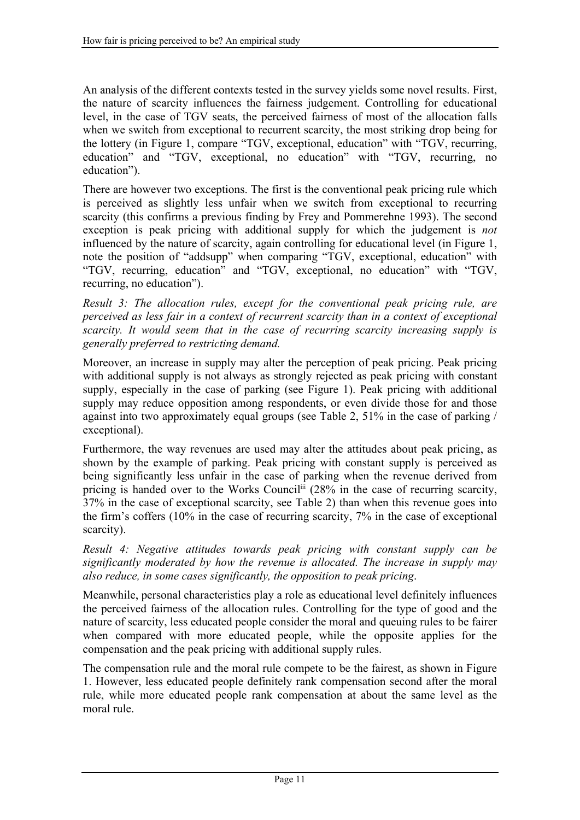An analysis of the different contexts tested in the survey yields some novel results. First, the nature of scarcity influences the fairness judgement. Controlling for educational level, in the case of TGV seats, the perceived fairness of most of the allocation falls when we switch from exceptional to recurrent scarcity, the most striking drop being for the lottery (in Figure 1, compare "TGV, exceptional, education" with "TGV, recurring, education" and "TGV, exceptional, no education" with "TGV, recurring, no education").

There are however two exceptions. The first is the conventional peak pricing rule which is perceived as slightly less unfair when we switch from exceptional to recurring scarcity (this confirms a previous finding by Frey and Pommerehne 1993). The second exception is peak pricing with additional supply for which the judgement is *not* influenced by the nature of scarcity, again controlling for educational level (in Figure 1, note the position of "addsupp" when comparing "TGV, exceptional, education" with "TGV, recurring, education" and "TGV, exceptional, no education" with "TGV, recurring, no education").

*Result 3: The allocation rules, except for the conventional peak pricing rule, are perceived as less fair in a context of recurrent scarcity than in a context of exceptional scarcity. It would seem that in the case of recurring scarcity increasing supply is generally preferred to restricting demand.* 

Moreover, an increase in supply may alter the perception of peak pricing. Peak pricing with additional supply is not always as strongly rejected as peak pricing with constant supply, especially in the case of parking (see Figure 1). Peak pricing with additional supply may reduce opposition among respondents, or even divide those for and those against into two approximately equal groups (see Table 2, 51% in the case of parking / exceptional).

Furthermore, the way revenues are used may alter the attitudes about peak pricing, as shown by the example of parking. Peak pricing with constant supply is perceived as being significantly less unfair in the case of parking when the revenue derived from pricing is handed over to the Works Council<sup>iii</sup> (28% in the case of recurring scarcity, 37% in the case of exceptional scarcity, see Table 2) than when this revenue goes into the firm's coffers (10% in the case of recurring scarcity, 7% in the case of exceptional scarcity).

*Result 4: Negative attitudes towards peak pricing with constant supply can be significantly moderated by how the revenue is allocated. The increase in supply may also reduce, in some cases significantly, the opposition to peak pricing*.

Meanwhile, personal characteristics play a role as educational level definitely influences the perceived fairness of the allocation rules. Controlling for the type of good and the nature of scarcity, less educated people consider the moral and queuing rules to be fairer when compared with more educated people, while the opposite applies for the compensation and the peak pricing with additional supply rules.

The compensation rule and the moral rule compete to be the fairest, as shown in Figure 1. However, less educated people definitely rank compensation second after the moral rule, while more educated people rank compensation at about the same level as the moral rule.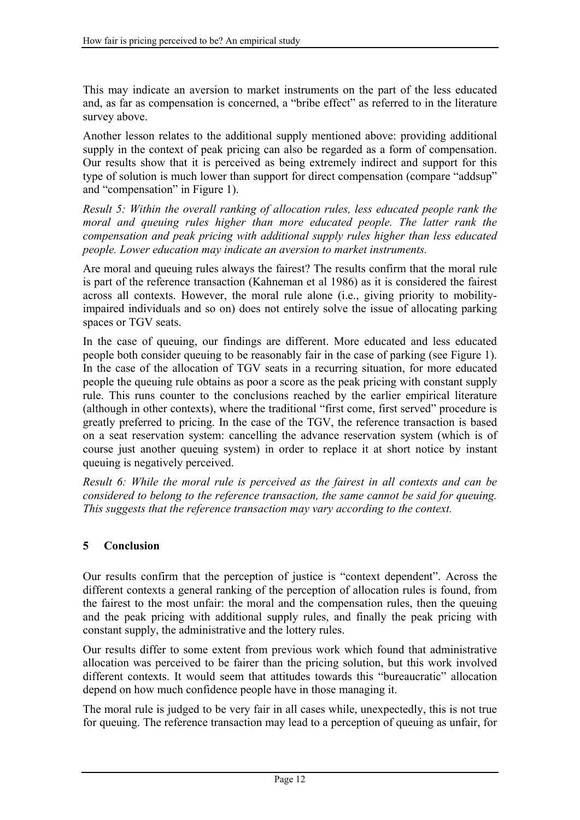This may indicate an aversion to market instruments on the part of the less educated and, as far as compensation is concerned, a "bribe effect" as referred to in the literature survey above.

Another lesson relates to the additional supply mentioned above: providing additional supply in the context of peak pricing can also be regarded as a form of compensation. Our results show that it is perceived as being extremely indirect and support for this type of solution is much lower than support for direct compensation (compare "addsup" and "compensation" in Figure 1).

*Result 5: Within the overall ranking of allocation rules, less educated people rank the moral and queuing rules higher than more educated people. The latter rank the compensation and peak pricing with additional supply rules higher than less educated people. Lower education may indicate an aversion to market instruments.* 

Are moral and queuing rules always the fairest? The results confirm that the moral rule is part of the reference transaction (Kahneman et al 1986) as it is considered the fairest across all contexts. However, the moral rule alone (i.e., giving priority to mobilityimpaired individuals and so on) does not entirely solve the issue of allocating parking spaces or TGV seats.

In the case of queuing, our findings are different. More educated and less educated people both consider queuing to be reasonably fair in the case of parking (see Figure 1). In the case of the allocation of TGV seats in a recurring situation, for more educated people the queuing rule obtains as poor a score as the peak pricing with constant supply rule. This runs counter to the conclusions reached by the earlier empirical literature (although in other contexts), where the traditional "first come, first served" procedure is greatly preferred to pricing. In the case of the TGV, the reference transaction is based on a seat reservation system: cancelling the advance reservation system (which is of course just another queuing system) in order to replace it at short notice by instant queuing is negatively perceived.

*Result 6: While the moral rule is perceived as the fairest in all contexts and can be considered to belong to the reference transaction, the same cannot be said for queuing. This suggests that the reference transaction may vary according to the context.* 

# **5 Conclusion**

Our results confirm that the perception of justice is "context dependent". Across the different contexts a general ranking of the perception of allocation rules is found, from the fairest to the most unfair: the moral and the compensation rules, then the queuing and the peak pricing with additional supply rules, and finally the peak pricing with constant supply, the administrative and the lottery rules.

Our results differ to some extent from previous work which found that administrative allocation was perceived to be fairer than the pricing solution, but this work involved different contexts. It would seem that attitudes towards this "bureaucratic" allocation depend on how much confidence people have in those managing it.

The moral rule is judged to be very fair in all cases while, unexpectedly, this is not true for queuing. The reference transaction may lead to a perception of queuing as unfair, for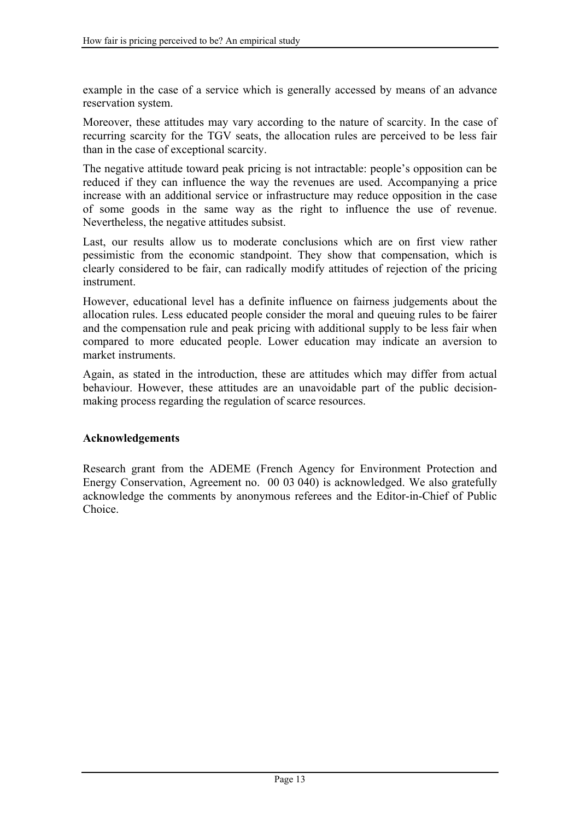example in the case of a service which is generally accessed by means of an advance reservation system.

Moreover, these attitudes may vary according to the nature of scarcity. In the case of recurring scarcity for the TGV seats, the allocation rules are perceived to be less fair than in the case of exceptional scarcity.

The negative attitude toward peak pricing is not intractable: people's opposition can be reduced if they can influence the way the revenues are used. Accompanying a price increase with an additional service or infrastructure may reduce opposition in the case of some goods in the same way as the right to influence the use of revenue. Nevertheless, the negative attitudes subsist.

Last, our results allow us to moderate conclusions which are on first view rather pessimistic from the economic standpoint. They show that compensation, which is clearly considered to be fair, can radically modify attitudes of rejection of the pricing instrument.

However, educational level has a definite influence on fairness judgements about the allocation rules. Less educated people consider the moral and queuing rules to be fairer and the compensation rule and peak pricing with additional supply to be less fair when compared to more educated people. Lower education may indicate an aversion to market instruments.

Again, as stated in the introduction, these are attitudes which may differ from actual behaviour. However, these attitudes are an unavoidable part of the public decisionmaking process regarding the regulation of scarce resources.

#### **Acknowledgements**

Research grant from the ADEME (French Agency for Environment Protection and Energy Conservation, Agreement no. 00 03 040) is acknowledged. We also gratefully acknowledge the comments by anonymous referees and the Editor-in-Chief of Public Choice.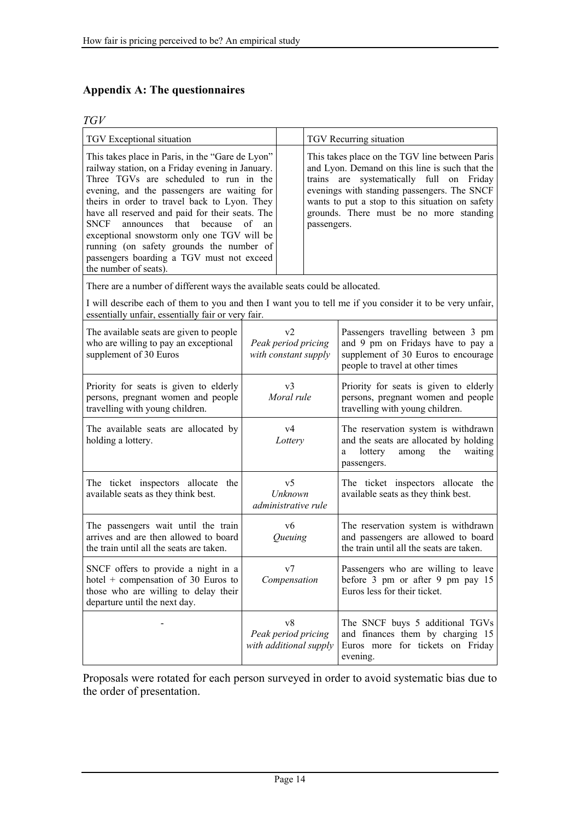# **Appendix A: The questionnaires**

| v<br>M. |
|---------|
|---------|

| TGV Exceptional situation                                                                                                                                                                                                                                                                                                                                                                                                                                                                                                   |                                                         |                                                                                                                                                                                                                                                                                                          | TGV Recurring situation                                                                                                                           |  |  |
|-----------------------------------------------------------------------------------------------------------------------------------------------------------------------------------------------------------------------------------------------------------------------------------------------------------------------------------------------------------------------------------------------------------------------------------------------------------------------------------------------------------------------------|---------------------------------------------------------|----------------------------------------------------------------------------------------------------------------------------------------------------------------------------------------------------------------------------------------------------------------------------------------------------------|---------------------------------------------------------------------------------------------------------------------------------------------------|--|--|
| This takes place in Paris, in the "Gare de Lyon"<br>railway station, on a Friday evening in January.<br>Three TGVs are scheduled to run in the<br>evening, and the passengers are waiting for<br>theirs in order to travel back to Lyon. They<br>have all reserved and paid for their seats. The<br>that<br><b>SNCF</b><br>announces<br>because<br>of<br>an<br>exceptional snowstorm only one TGV will be<br>running (on safety grounds the number of<br>passengers boarding a TGV must not exceed<br>the number of seats). |                                                         | This takes place on the TGV line between Paris<br>and Lyon. Demand on this line is such that the<br>trains are systematically full on Friday<br>evenings with standing passengers. The SNCF<br>wants to put a stop to this situation on safety<br>grounds. There must be no more standing<br>passengers. |                                                                                                                                                   |  |  |
| There are a number of different ways the available seats could be allocated.                                                                                                                                                                                                                                                                                                                                                                                                                                                |                                                         |                                                                                                                                                                                                                                                                                                          |                                                                                                                                                   |  |  |
| essentially unfair, essentially fair or very fair.                                                                                                                                                                                                                                                                                                                                                                                                                                                                          |                                                         |                                                                                                                                                                                                                                                                                                          | I will describe each of them to you and then I want you to tell me if you consider it to be very unfair,                                          |  |  |
| The available seats are given to people<br>who are willing to pay an exceptional<br>supplement of 30 Euros                                                                                                                                                                                                                                                                                                                                                                                                                  | v2<br>Peak period pricing<br>with constant supply       |                                                                                                                                                                                                                                                                                                          | Passengers travelling between 3 pm<br>and 9 pm on Fridays have to pay a<br>supplement of 30 Euros to encourage<br>people to travel at other times |  |  |
| Priority for seats is given to elderly<br>persons, pregnant women and people<br>travelling with young children.                                                                                                                                                                                                                                                                                                                                                                                                             | v <sub>3</sub><br>Moral rule                            |                                                                                                                                                                                                                                                                                                          | Priority for seats is given to elderly<br>persons, pregnant women and people<br>travelling with young children.                                   |  |  |
| The available seats are allocated by<br>holding a lottery.                                                                                                                                                                                                                                                                                                                                                                                                                                                                  | v4<br>Lottery                                           |                                                                                                                                                                                                                                                                                                          | The reservation system is withdrawn<br>and the seats are allocated by holding<br>waiting<br>lottery<br>among<br>the<br>a<br>passengers.           |  |  |
| The ticket inspectors allocate<br>the<br>available seats as they think best.                                                                                                                                                                                                                                                                                                                                                                                                                                                | v <sub>5</sub><br><b>Unknown</b><br>administrative rule |                                                                                                                                                                                                                                                                                                          | The ticket inspectors allocate the<br>available seats as they think best.                                                                         |  |  |
| The passengers wait until the train<br>arrives and are then allowed to board<br>the train until all the seats are taken.                                                                                                                                                                                                                                                                                                                                                                                                    | v6<br>Queuing                                           |                                                                                                                                                                                                                                                                                                          | The reservation system is withdrawn<br>and passengers are allowed to board<br>the train until all the seats are taken.                            |  |  |
| SNCF offers to provide a night in a<br>hotel $+$ compensation of 30 Euros to<br>those who are willing to delay their<br>departure until the next day.                                                                                                                                                                                                                                                                                                                                                                       | v7<br>Compensation                                      |                                                                                                                                                                                                                                                                                                          | Passengers who are willing to leave<br>before 3 pm or after 9 pm pay 15<br>Euros less for their ticket.                                           |  |  |
|                                                                                                                                                                                                                                                                                                                                                                                                                                                                                                                             | v8<br>Peak period pricing<br>with additional supply     |                                                                                                                                                                                                                                                                                                          | The SNCF buys 5 additional TGVs<br>and finances them by charging 15<br>Euros more for tickets on Friday<br>evening.                               |  |  |

Proposals were rotated for each person surveyed in order to avoid systematic bias due to the order of presentation.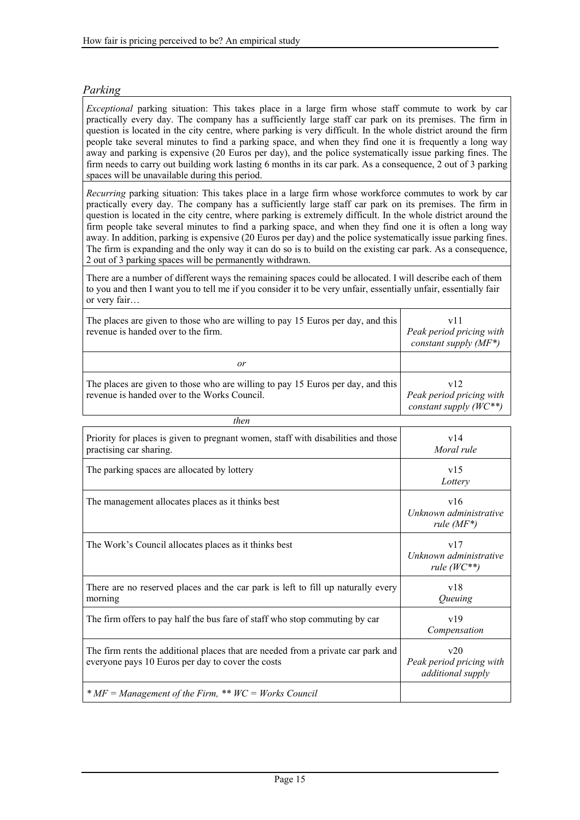#### *Parking*

*Exceptional* parking situation: This takes place in a large firm whose staff commute to work by car practically every day. The company has a sufficiently large staff car park on its premises. The firm in question is located in the city centre, where parking is very difficult. In the whole district around the firm people take several minutes to find a parking space, and when they find one it is frequently a long way away and parking is expensive (20 Euros per day), and the police systematically issue parking fines. The firm needs to carry out building work lasting 6 months in its car park. As a consequence, 2 out of 3 parking spaces will be unavailable during this period.

*Recurring* parking situation: This takes place in a large firm whose workforce commutes to work by car practically every day. The company has a sufficiently large staff car park on its premises. The firm in question is located in the city centre, where parking is extremely difficult. In the whole district around the firm people take several minutes to find a parking space, and when they find one it is often a long way away. In addition, parking is expensive (20 Euros per day) and the police systematically issue parking fines. The firm is expanding and the only way it can do so is to build on the existing car park. As a consequence, 2 out of 3 parking spaces will be permanently withdrawn.

There are a number of different ways the remaining spaces could be allocated. I will describe each of them to you and then I want you to tell me if you consider it to be very unfair, essentially unfair, essentially fair or very fair…

| The places are given to those who are willing to pay 15 Euros per day, and this | vH                                                 |  |
|---------------------------------------------------------------------------------|----------------------------------------------------|--|
| revenue is handed over to the firm.                                             | Peak period pricing with<br>constant supply (MF*)  |  |
| or                                                                              |                                                    |  |
| The places are given to those who are willing to pay 15 Euros per day, and this | v12                                                |  |
| revenue is handed over to the Works Council.                                    | Peak period pricing with<br>constant supply (WC**) |  |
| nen                                                                             |                                                    |  |

| Priority for places is given to pregnant women, staff with disabilities and those<br>practising car sharing.                          | v14<br>Moral rule                                    |
|---------------------------------------------------------------------------------------------------------------------------------------|------------------------------------------------------|
| The parking spaces are allocated by lottery                                                                                           | v15<br>Lottery                                       |
| The management allocates places as it thinks best                                                                                     | v16<br>Unknown administrative<br>rule $(MF^*)$       |
| The Work's Council allocates places as it thinks best                                                                                 | v17<br>Unknown administrative<br>rule $(WC^{**})$    |
| There are no reserved places and the car park is left to fill up naturally every<br>morning                                           | v18<br>Queuing                                       |
| The firm offers to pay half the bus fare of staff who stop commuting by car                                                           | v19<br>Compensation                                  |
| The firm rents the additional places that are needed from a private car park and<br>everyone pays 10 Euros per day to cover the costs | v20<br>Peak period pricing with<br>additional supply |
| $*MF = Management of the Firm, **WC = Works Council$                                                                                  |                                                      |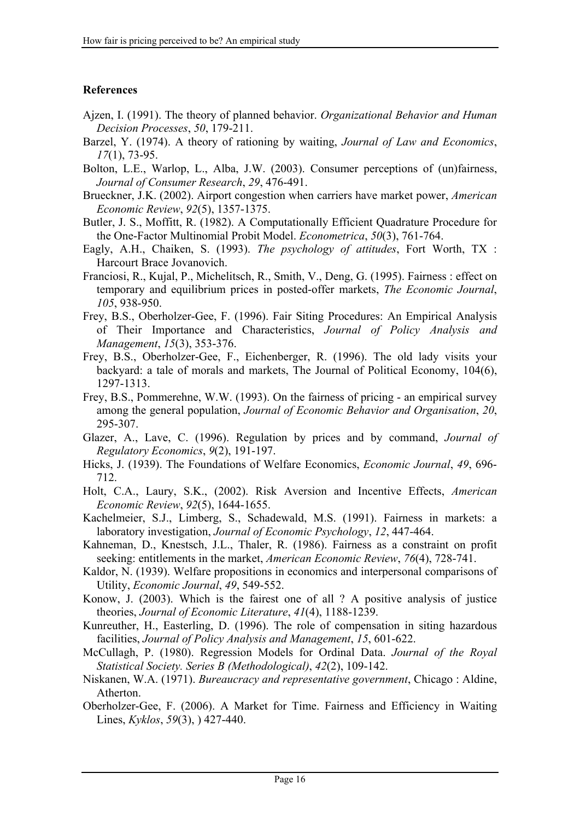#### **References**

- Ajzen, I. (1991). The theory of planned behavior. *Organizational Behavior and Human Decision Processes*, *50*, 179-211.
- Barzel, Y. (1974). A theory of rationing by waiting, *Journal of Law and Economics*, *17*(1), 73-95.
- Bolton, L.E., Warlop, L., Alba, J.W. (2003). Consumer perceptions of (un)fairness, *Journal of Consumer Research*, *29*, 476-491.
- Brueckner, J.K. (2002). Airport congestion when carriers have market power, *American Economic Review*, *92*(5), 1357-1375.
- Butler, J. S., Moffitt, R. (1982). A Computationally Efficient Quadrature Procedure for the One-Factor Multinomial Probit Model. *Econometrica*, *50*(3), 761-764.
- Eagly, A.H., Chaiken, S. (1993). *The psychology of attitudes*, Fort Worth, TX : Harcourt Brace Jovanovich.
- Franciosi, R., Kujal, P., Michelitsch, R., Smith, V., Deng, G. (1995). Fairness : effect on temporary and equilibrium prices in posted-offer markets, *The Economic Journal*, *105*, 938-950.
- Frey, B.S., Oberholzer-Gee, F. (1996). Fair Siting Procedures: An Empirical Analysis of Their Importance and Characteristics, *Journal of Policy Analysis and Management*, *15*(3), 353-376.
- Frey, B.S., Oberholzer-Gee, F., Eichenberger, R. (1996). The old lady visits your backyard: a tale of morals and markets, The Journal of Political Economy, 104(6), 1297-1313.
- Frey, B.S., Pommerehne, W.W. (1993). On the fairness of pricing an empirical survey among the general population, *Journal of Economic Behavior and Organisation*, *20*, 295-307.
- Glazer, A., Lave, C. (1996). Regulation by prices and by command, *Journal of Regulatory Economics*, *9*(2), 191-197.
- Hicks, J. (1939). The Foundations of Welfare Economics, *Economic Journal*, *49*, 696- 712.
- Holt, C.A., Laury, S.K., (2002). Risk Aversion and Incentive Effects, *American Economic Review*, *92*(5), 1644-1655.
- Kachelmeier, S.J., Limberg, S., Schadewald, M.S. (1991). Fairness in markets: a laboratory investigation, *Journal of Economic Psychology*, *12*, 447-464.
- Kahneman, D., Knestsch, J.L., Thaler, R. (1986). Fairness as a constraint on profit seeking: entitlements in the market, *American Economic Review*, *76*(4), 728-741.
- Kaldor, N. (1939). Welfare propositions in economics and interpersonal comparisons of Utility, *Economic Journal*, *49*, 549-552.
- Konow, J. (2003). Which is the fairest one of all ? A positive analysis of justice theories, *Journal of Economic Literature*, *41*(4), 1188-1239.
- Kunreuther, H., Easterling, D. (1996). The role of compensation in siting hazardous facilities, *Journal of Policy Analysis and Management*, *15*, 601-622.
- McCullagh, P. (1980). Regression Models for Ordinal Data. *Journal of the Royal Statistical Society. Series B (Methodological)*, *42*(2), 109-142.
- Niskanen, W.A. (1971). *Bureaucracy and representative government*, Chicago : Aldine, Atherton.
- Oberholzer-Gee, F. (2006). A Market for Time. Fairness and Efficiency in Waiting Lines, *Kyklos*, *59*(3), ) 427-440.